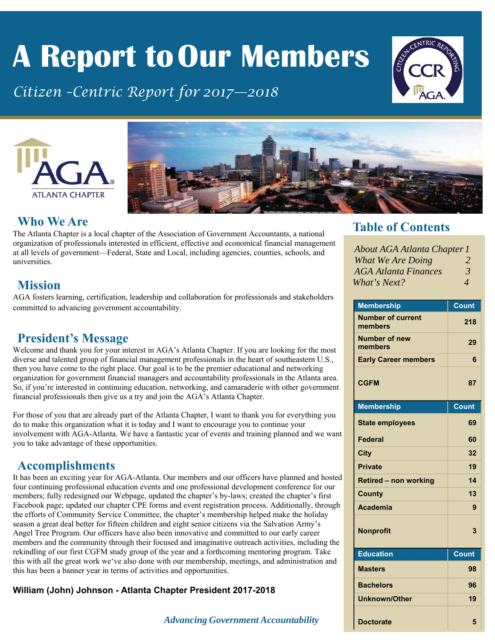# **A Report to Our Members**

*Citizen –Centric Report for 2017—2018*







#### **Who We Are**

The Atlanta Chapter is a local chapter of the Association of Government Accountants, a national organization of professionals interested in efficient, effective and economical financial management at all levels of government—Federal, State and Local, including agencies, counties, schools, and universities.

#### **Mission**

AGA fosters learning, certification, leadership and collaboration for professionals and stakeholders committed to advancing government accountability.

#### **President's Message**

Welcome and thank you for your interest in AGA's Atlanta Chapter. If you are looking for the most diverse and talented group of financial management professionals in the heart of southeastern U.S., then you have come to the right place. Our goal is to be the premier educational and networking organization for government financial managers and accountability professionals in the Atlanta area. So, if you're interested in continuing education, networking, and camaraderie with other government financial professionals then give us a try and join the AGA's Atlanta Chapter.

For those of you that are already part of the Atlanta Chapter, I want to thank you for everything you do to make this organization what it is today and I want to encourage you to continue your involvement with AGA-Atlanta. We have a fantastic year of events and training planned and we want you to take advantage of these opportunities.

#### **Accomplishments**

It has been an exciting year for AGA-Atlanta. Our members and our officers have planned and hosted four continuing professional education events and one professional development conference for our members; fully redesigned our Webpage, updated the chapter's by-laws; created the chapter's first Facebook page; updated our chapter CPE forms and event registration process. Additionally, through the efforts of Community Service Committee, the chapter's membership helped make the holiday season a great deal better for fifteen children and eight senior citizens via the Salvation Army's Angel Tree Program. Our officers have also been innovative and committed to our early career members and the community through their focused and imaginative outreach activities, including the rekindling of our first CGFM study group of the year and a forthcoming mentoring program. Take this with all the great work we've also done with our membership, meetings, and administration and this has been a banner year in terms of activities and opportunities.

#### **William (John) Johnson - Atlanta Chapter President 2017-2018**

#### *Advancing Government Accountability* **1**

#### **Table of Contents**

| <b>About AGA Atlanta Chapter 1</b> |                          |
|------------------------------------|--------------------------|
| What We Are Doing                  | $\overline{2}$           |
| <b>AGA Atlanta Finances</b>        | 3                        |
| What's Next?                       | $\boldsymbol{\varDelta}$ |

| <b>Membership</b>                   | <b>Count</b> |
|-------------------------------------|--------------|
| <b>Number of current</b><br>members | 218          |
| <b>Number of new</b><br>members     | 29           |
| <b>Early Career members</b>         | 6            |
| <b>CGFM</b>                         | 87           |
| <b>Membership</b>                   | Count        |
| <b>State employees</b>              | 69           |
| <b>Federal</b>                      | 60           |
| <b>City</b>                         | 32           |
| <b>Private</b>                      | 19           |
| <b>Retired - non working</b>        | 14           |
| <b>County</b>                       | 13           |
| <b>Academia</b>                     | 9            |
| <b>Nonprofit</b>                    | 3            |
| <b>Education</b>                    | <b>Count</b> |
| <b>Masters</b>                      | 98           |
| <b>Bachelors</b>                    | 96           |
| <b>Unknown/Other</b>                | 19           |
| <b>Doctorate</b>                    | 5            |

I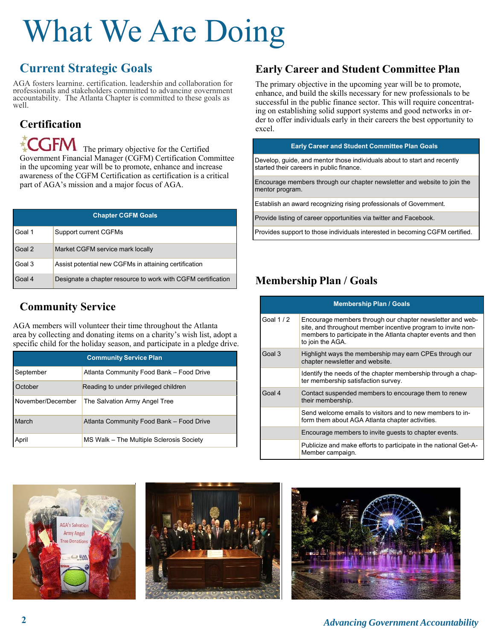# What We Are Doing

### **Current Strategic Goals**

AGA fosters learning, certification, leadership and collaboration for professionals and stakeholders committed to advancing government accountability. The Atlanta Chapter is committed to these goals as well.

### **Certification**

 $T$ The primary objective for the Certified Government Financial Manager (CGFM) Certification Committee in the upcoming year will be to promote, enhance and increase awareness of the CGFM Certification as certification is a critical part of AGA's mission and a major focus of AGA.

| <b>Chapter CGFM Goals</b> |                                                              |  |  |  |
|---------------------------|--------------------------------------------------------------|--|--|--|
| Goal 1                    | <b>Support current CGFMs</b>                                 |  |  |  |
| Goal 2                    | Market CGFM service mark locally                             |  |  |  |
| Goal 3                    | Assist potential new CGFMs in attaining certification        |  |  |  |
| Goal 4                    | Designate a chapter resource to work with CGFM certification |  |  |  |

#### **Community Service**

AGA members will volunteer their time throughout the Atlanta area by collecting and donating items on a charity's wish list, adopt a specific child for the holiday season, and participate in a pledge drive.

| <b>Community Service Plan</b> |                                          |  |  |  |
|-------------------------------|------------------------------------------|--|--|--|
| September                     | Atlanta Community Food Bank - Food Drive |  |  |  |
| October                       | Reading to under privileged children     |  |  |  |
| November/December             | The Salvation Army Angel Tree            |  |  |  |
| March                         | Atlanta Community Food Bank - Food Drive |  |  |  |
| April                         | MS Walk – The Multiple Sclerosis Society |  |  |  |

### **Early Career and Student Committee Plan**

The primary objective in the upcoming year will be to promote, enhance, and build the skills necessary for new professionals to be successful in the public finance sector. This will require concentrating on establishing solid support systems and good networks in order to offer individuals early in their careers the best opportunity to excel.

#### **Early Career and Student Committee Plan Goals**

Develop, guide, and mentor those individuals about to start and recently started their careers in public finance.

Encourage members through our chapter newsletter and website to join the mentor program.

Establish an award recognizing rising professionals of Government.

Provide listing of career opportunities via twitter and Facebook.

Provides support to those individuals interested in becoming CGFM certified.

#### **Membership Plan / Goals**

| <b>Membership Plan / Goals</b> |                                                                                                                                                                                                                |  |  |  |
|--------------------------------|----------------------------------------------------------------------------------------------------------------------------------------------------------------------------------------------------------------|--|--|--|
| Goal $1/2$                     | Encourage members through our chapter newsletter and web-<br>site, and throughout member incentive program to invite non-<br>members to participate in the Atlanta chapter events and then<br>to join the AGA. |  |  |  |
| Goal 3                         | Highlight ways the membership may earn CPEs through our<br>chapter newsletter and website.                                                                                                                     |  |  |  |
|                                | Identify the needs of the chapter membership through a chap-<br>ter membership satisfaction survey.                                                                                                            |  |  |  |
| Goal 4                         | Contact suspended members to encourage them to renew<br>their membership.                                                                                                                                      |  |  |  |
|                                | Send welcome emails to visitors and to new members to in-<br>form them about AGA Atlanta chapter activities.                                                                                                   |  |  |  |
|                                | Encourage members to invite guests to chapter events.                                                                                                                                                          |  |  |  |
|                                | Publicize and make efforts to participate in the national Get-A-<br>Member campaign.                                                                                                                           |  |  |  |





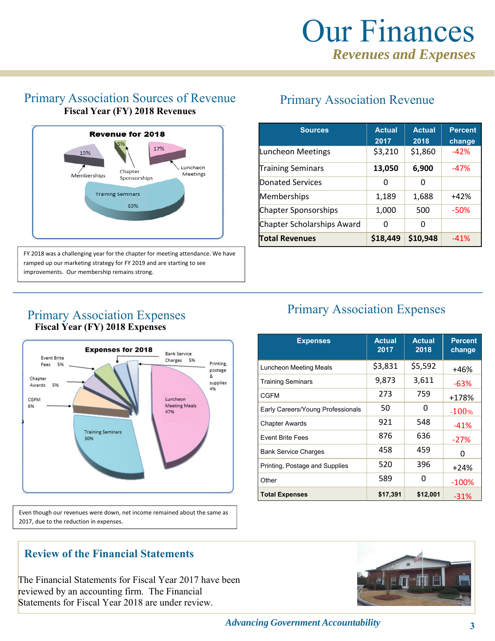#### Primary Association Sources of Revenue **Fiscal Year (FY) 2018 Revenues**



FY 2018 was a challenging year for the chapter for meeting attendance. We have ramped up our marketing strategy for FY 2019 and are starting to see improvements. Our membership remains strong.

### Primary Association Revenue

| <b>Sources</b>              | <b>Actual</b><br>2017 | <b>Actual</b><br>2018 | <b>Percent</b><br>change |
|-----------------------------|-----------------------|-----------------------|--------------------------|
| Luncheon Meetings           | \$3,210               | \$1,860               | $-42%$                   |
| <b>Training Seminars</b>    | 13,050                | 6,900                 | $-47%$                   |
| Donated Services            | O                     | ი                     |                          |
| Memberships                 | 1,189                 | 1,688                 | $+42%$                   |
| <b>Chapter Sponsorships</b> | 1,000                 | 500                   | $-50%$                   |
| Chapter Scholarships Award  | O                     | ŋ                     |                          |
| <b>Total Revenues</b>       | \$18,449              | \$10,948              | $-41%$                   |

**Expenses Actual**

**2017**

Luncheon Meeting Meals  $\begin{array}{|c|c|c|c|c|}\n\hline\n\text{53,831} & \text{55,592} & \text{+46\%}\n\end{array}$ Training Seminars  $9,873$   $3,611$   $-63\%$ CGFM 273 759 +178% Early Careers/Young Professionals  $\begin{array}{|c|c|c|c|c|}\n\hline\n&50 & 0 & 100\% \hline\n\end{array}$ Chapter Awards  $921 \t 548 \t -41\%$ Event Brite Fees 876 636 ‐27% Bank Service Charges 1458 1459 10 Printing, Postage and Supplies  $\begin{array}{|c|c|c|c|c|c|c|c|} \hline \end{array}$  396  $\begin{array}{|c|c|c|c|c|c|c|c|c|} \hline & & & & +24\% \hline \end{array}$ Other 589 0 -100% **Total Expenses \$17,391 \$12,001** ‐31%

Primary Association Expenses

**Actual 2018**

**Percent change**

#### Primary Association Expenses  **Fiscal Year (FY) 2018 Expenses**



Even though our revenues were down, net income remained about the same as 2017, due to the reduction in expenses.

#### **Review of the Financial Statements**

The Financial Statements for Fiscal Year 2017 have been reviewed by an accounting firm. The Financial Statements for Fiscal Year 2018 are under review.

#### *Advancing Government Accountability* **3**